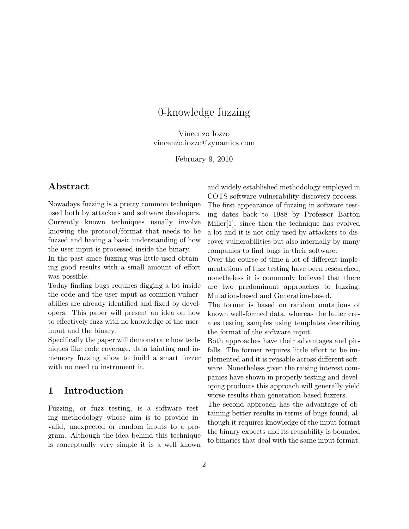# 0-knowledge fuzzing

Vincenzo Iozzo vincenzo.iozzo@zynamics.com

February 9, 2010

## Abstract

Nowadays fuzzing is a pretty common technique used both by attackers and software developers. Currently known techniques usually involve knowing the protocol/format that needs to be fuzzed and having a basic understanding of how the user input is processed inside the binary.

In the past since fuzzing was little-used obtaining good results with a small amount of effort was possible.

Today finding bugs requires digging a lot inside the code and the user-input as common vulnerabilies are already identified and fixed by developers. This paper will present an idea on how to effectively fuzz with no knowledge of the userinput and the binary.

Specifically the paper will demonstrate how techniques like code coverage, data tainting and inmemory fuzzing allow to build a smart fuzzer with no need to instrument it.

## 1 Introduction

Fuzzing, or fuzz testing, is a software testing methodology whose aim is to provide invalid, unexpected or random inputs to a program. Although the idea behind this technique is conceptually very simple it is a well known and widely established methodology employed in COTS software vulnerability discovery process. The first appearance of fuzzing in software testing dates back to 1988 by Professor Barton Miller[\[1\]](#page-10-0); since then the technique has evolved a lot and it is not only used by attackers to discover vulnerabilities but also internally by many

Over the course of time a lot of different implementations of fuzz testing have been researched, nonetheless it is commonly believed that there are two predominant approaches to fuzzing: Mutation-based and Generation-based.

companies to find bugs in their software.

The former is based on random mutations of known well-formed data, whereas the latter creates testing samples using templates describing the format of the software input.

Both approaches have their advantages and pitfalls. The former requires little effort to be implemented and it is reusable across different software. Nonetheless given the raising interest companies have shown in properly testing and developing products this approach will generally yield worse results than generation-based fuzzers.

The second approach has the advantage of obtaining better results in terms of bugs found, although it requires knowledge of the input format the binary expects and its reusability is bounded to binaries that deal with the same input format.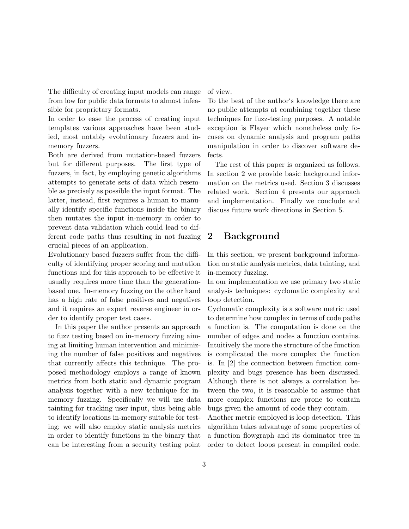The difficulty of creating input models can range from low for public data formats to almost infeasible for proprietary formats.

In order to ease the process of creating input templates various approaches have been studied, most notably evolutionary fuzzers and inmemory fuzzers.

Both are derived from mutation-based fuzzers but for different purposes. The first type of fuzzers, in fact, by employing genetic algorithms attempts to generate sets of data which resemble as precisely as possible the input format. The latter, instead, first requires a human to manually identify specific functions inside the binary then mutates the input in-memory in order to prevent data validation which could lead to different code paths thus resulting in not fuzzing crucial pieces of an application.

Evolutionary based fuzzers suffer from the difficulty of identifying proper scoring and mutation functions and for this approach to be effective it usually requires more time than the generationbased one. In-memory fuzzing on the other hand has a high rate of false positives and negatives and it requires an expert reverse engineer in order to identify proper test cases.

In this paper the author presents an approach to fuzz testing based on in-memory fuzzing aiming at limiting human intervention and minimizing the number of false positives and negatives that currently affects this technique. The proposed methodology employs a range of known metrics from both static and dynamic program analysis together with a new technique for inmemory fuzzing. Specifically we will use data tainting for tracking user input, thus being able to identify locations in-memory suitable for testing; we will also employ static analysis metrics in order to identify functions in the binary that can be interesting from a security testing point of view.

To the best of the author's knowledge there are no public attempts at combining together these techniques for fuzz-testing purposes. A notable exception is Flayer which nonetheless only focuses on dynamic analysis and program paths manipulation in order to discover software defects.

The rest of this paper is organized as follows. In section 2 we provide basic background information on the metrics used. Section 3 discusses related work. Section 4 presents our approach and implementation. Finally we conclude and discuss future work directions in Section 5.

# 2 Background

In this section, we present background information on static analysis metrics, data tainting, and in-memory fuzzing.

In our implementation we use primary two static analysis techniques: cyclomatic complexity and loop detection.

Cyclomatic complexity is a software metric used to determine how complex in terms of code paths a function is. The computation is done on the number of edges and nodes a function contains. Intuitively the more the structure of the function is complicated the more complex the function is. In [\[2\]](#page-10-1) the connection between function complexity and bugs presence has been discussed. Although there is not always a correlation between the two, it is reasonable to assume that more complex functions are prone to contain bugs given the amount of code they contain.

Another metric employed is loop detection. This algorithm takes advantage of some properties of a function flowgraph and its dominator tree in order to detect loops present in compiled code.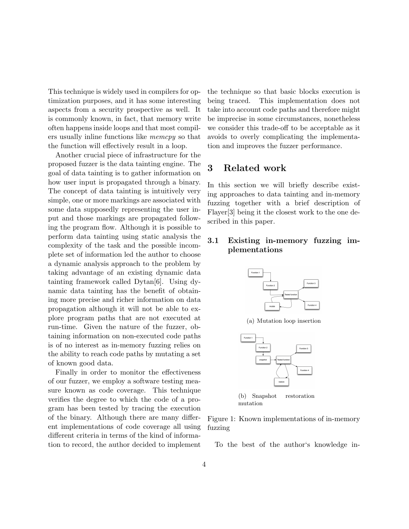This technique is widely used in compilers for optimization purposes, and it has some interesting aspects from a security prospective as well. It is commonly known, in fact, that memory write often happens inside loops and that most compilers usually inline functions like memcpy so that the function will effectively result in a loop.

Another crucial piece of infrastructure for the proposed fuzzer is the data tainting engine. The goal of data tainting is to gather information on how user input is propagated through a binary. The concept of data tainting is intuitively very simple, one or more markings are associated with some data supposedly representing the user input and those markings are propagated following the program flow. Although it is possible to perform data tainting using static analysis the complexity of the task and the possible incomplete set of information led the author to choose a dynamic analysis approach to the problem by taking advantage of an existing dynamic data tainting framework called Dytan[\[6\]](#page-10-2). Using dynamic data tainting has the benefit of obtaining more precise and richer information on data propagation although it will not be able to explore program paths that are not executed at run-time. Given the nature of the fuzzer, obtaining information on non-executed code paths is of no interest as in-memory fuzzing relies on the ability to reach code paths by mutating a set of known good data.

Finally in order to monitor the effectiveness of our fuzzer, we employ a software testing measure known as code coverage. This technique verifies the degree to which the code of a program has been tested by tracing the execution of the binary. Although there are many different implementations of code coverage all using different criteria in terms of the kind of information to record, the author decided to implement the technique so that basic blocks execution is being traced. This implementation does not take into account code paths and therefore might be imprecise in some circumstances, nonetheless we consider this trade-off to be acceptable as it avoids to overly complicating the implementation and improves the fuzzer performance.

# 3 Related work

In this section we will briefly describe existing approaches to data tainting and in-memory fuzzing together with a brief description of Flayer[\[3\]](#page-10-3) being it the closest work to the one described in this paper.

### <span id="page-3-0"></span>3.1 Existing in-memory fuzzing implementations



(a) Mutation loop insertion



<span id="page-3-1"></span>(b) Snapshot restoration mutation

Figure 1: Known implementations of in-memory fuzzing

To the best of the author's knowledge in-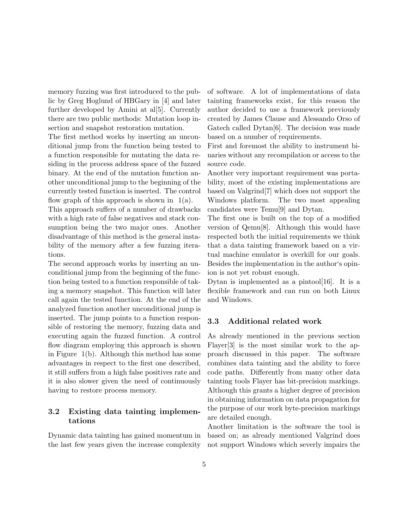memory fuzzing was first introduced to the public by Greg Hoglund of HBGary in [\[4\]](#page-10-4) and later further developed by Amini at al[\[5\]](#page-10-5). Currently there are two public methods: Mutation loop insertion and snapshot restoration mutation.

The first method works by inserting an unconditional jump from the function being tested to a function responsible for mutating the data residing in the process address space of the fuzzed binary. At the end of the mutation function another unconditional jump to the beginning of the currently tested function is inserted. The control flow graph of this approach is shown in  $1(a)$ .

This approach suffers of a number of drawbacks with a high rate of false negatives and stack consumption being the two major ones. Another disadvantage of this method is the general instability of the memory after a few fuzzing iterations.

The second approach works by inserting an unconditional jump from the beginning of the function being tested to a function responsible of taking a memory snapshot. This function will later call again the tested function. At the end of the analyzed function another unconditional jump is inserted. The jump points to a function responsible of restoring the memory, fuzzing data and executing again the fuzzed function. A control flow diagram employing this approach is shown in Figure [1\(b\).](#page-3-1) Although this method has some advantages in respect to the first one described, it still suffers from a high false positives rate and it is also slower given the need of continuously having to restore process memory.

## 3.2 Existing data tainting implementations

Dynamic data tainting has gained momentum in the last few years given the increase complexity

of software. A lot of implementations of data tainting frameworks exist, for this reason the author decided to use a framework previously created by James Clause and Alessando Orso of Gatech called Dytan[\[6\]](#page-10-2). The decision was made based on a number of requirements.

First and foremost the ability to instrument binaries without any recompilation or access to the source code.

Another very important requirement was portability, most of the existing implementations are based on Valgrind[\[7\]](#page-10-6) which does not support the Windows platform. The two most appealing candidates were Temu[\[9\]](#page-10-7) and Dytan.

The first one is built on the top of a modified version of Qemu[\[8\]](#page-10-8). Although this would have respected both the initial requirements we think that a data tainting framework based on a virtual machine emulator is overkill for our goals. Besides the implementation in the author's opinion is not yet robust enough.

Dytan is implemented as a pintool[\[16\]](#page-10-9). It is a flexible framework and can run on both Linux and Windows.

### 3.3 Additional related work

As already mentioned in the previous section Flayer[\[3\]](#page-10-3) is the most similar work to the approach discussed in this paper. The software combines data tainting and the ability to force code paths. Differently from many other data tainting tools Flayer has bit-precision markings. Although this grants a higher degree of precision in obtaining information on data propagation for the purpose of our work byte-precision markings are detailed enough.

Another limitation is the software the tool is based on; as already mentioned Valgrind does not support Windows which severly impairs the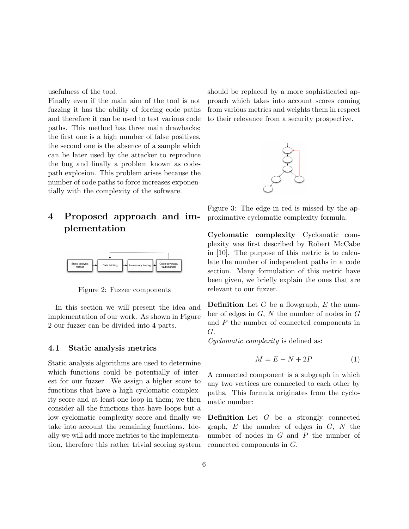usefulness of the tool.

Finally even if the main aim of the tool is not fuzzing it has the ability of forcing code paths and therefore it can be used to test various code paths. This method has three main drawbacks; the first one is a high number of false positives, the second one is the absence of a sample which can be later used by the attacker to reproduce the bug and finally a problem known as codepath explosion. This problem arises because the number of code paths to force increases exponentially with the complexity of the software.

# 4 Proposed approach and implementation



<span id="page-5-0"></span>Figure 2: Fuzzer components

In this section we will present the idea and implementation of our work. As shown in Figure [2](#page-5-0) our fuzzer can be divided into 4 parts.

#### 4.1 Static analysis metrics

Static analysis algorithms are used to determine which functions could be potentially of interest for our fuzzer. We assign a higher score to functions that have a high cyclomatic complexity score and at least one loop in them; we then consider all the functions that have loops but a low cyclomatic complexity score and finally we take into account the remaining functions. Ideally we will add more metrics to the implementation, therefore this rather trivial scoring system should be replaced by a more sophisticated approach which takes into account scores coming from various metrics and weights them in respect to their relevance from a security prospective.



<span id="page-5-1"></span>Figure 3: The edge in red is missed by the approximative cyclomatic complexity formula.

Cyclomatic complexity Cyclomatic complexity was first described by Robert McCabe in [\[10\]](#page-10-10). The purpose of this metric is to calculate the number of independent paths in a code section. Many formulation of this metric have been given, we briefly explain the ones that are relevant to our fuzzer.

**Definition** Let  $G$  be a flowgraph,  $E$  the number of edges in  $G, N$  the number of nodes in  $G$ and P the number of connected components in G.

Cyclomatic complexity is defined as:

$$
M = E - N + 2P \tag{1}
$$

A connected component is a subgraph in which any two vertices are connected to each other by paths. This formula originates from the cyclomatic number:

Definition Let G be a strongly connected graph,  $E$  the number of edges in  $G$ ,  $N$  the number of nodes in G and P the number of connected components in G.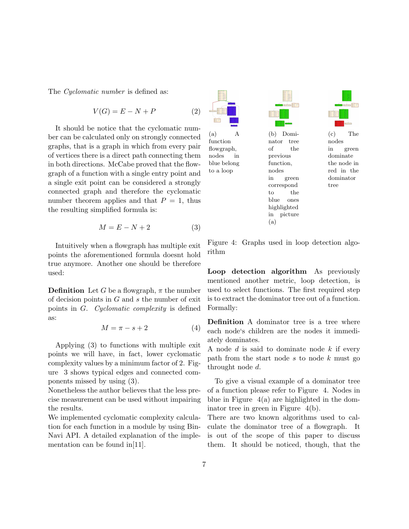The *Cyclomatic number* is defined as:

$$
V(G) = E - N + P \tag{2}
$$

It should be notice that the cyclomatic number can be calculated only on strongly connected graphs, that is a graph in which from every pair of vertices there is a direct path connecting them in both directions. McCabe proved that the flowgraph of a function with a single entry point and a single exit point can be considered a strongly connected graph and therefore the cyclomatic number theorem applies and that  $P = 1$ , thus the resulting simplified formula is:

$$
M = E - N + 2 \tag{3}
$$

Intuitively when a flowgraph has multiple exit points the aforementioned formula doesnt hold true anymore. Another one should be therefore used:

**Definition** Let G be a flowgraph,  $\pi$  the number of decision points in  $G$  and  $s$  the number of exit points in G. Cyclomatic complexity is defined as:

$$
M = \pi - s + 2 \tag{4}
$$

Applying (3) to functions with multiple exit points we will have, in fact, lower cyclomatic complexity values by a minimum factor of 2. Figure [3](#page-5-1) shows typical edges and connected components missed by using (3).

Nonetheless the author believes that the less precise measurement can be used without impairing the results.

We implemented cyclomatic complexity calculation for each function in a module by using Bin-Navi API. A detailed explanation of the implementation can be found in[\[11\]](#page-10-11).

<span id="page-6-1"></span>

blue belong to a loop

<span id="page-6-2"></span>(b) Dominator tree of the previous function, nodes in green correspond to the blue ones highlighted in picture (a)

 $\frac{1}{2}$ 



<span id="page-6-3"></span>(c) The nodes in green dominate the node in red in the dominator tree

<span id="page-6-0"></span>Figure 4: Graphs used in loop detection algorithm

Loop detection algorithm As previously mentioned another metric, loop detection, is used to select functions. The first required step is to extract the dominator tree out of a function. Formally:

Definition A dominator tree is a tree where each node's children are the nodes it immediately dominates.

A node  $d$  is said to dominate node  $k$  if every path from the start node  $s$  to node  $k$  must go throught node d.

To give a visual example of a dominator tree of a function please refer to Figure [4.](#page-6-0) Nodes in blue in Figure  $4(a)$  are highlighted in the dominator tree in green in Figure [4\(b\).](#page-6-2)

There are two known algorithms used to calculate the dominator tree of a flowgraph. It is out of the scope of this paper to discuss them. It should be noticed, though, that the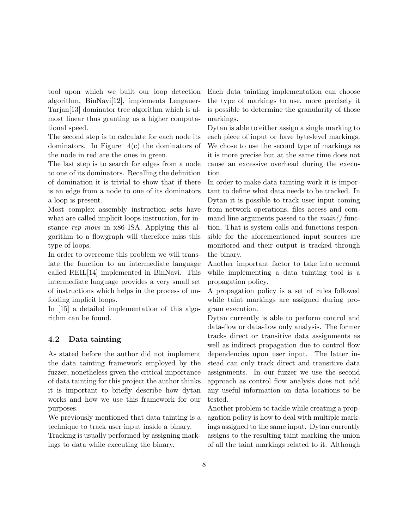tool upon which we built our loop detection algorithm, BinNavi[\[12\]](#page-10-12), implements Lengauer-Tarjan[\[13\]](#page-10-13) dominator tree algorithm which is almost linear thus granting us a higher computational speed.

The second step is to calculate for each node its dominators. In Figure [4\(c\)](#page-6-3) the dominators of the node in red are the ones in green.

The last step is to search for edges from a node to one of its dominators. Recalling the definition of domination it is trivial to show that if there is an edge from a node to one of its dominators a loop is present.

Most complex assembly instruction sets have what are called implicit loops instruction, for instance rep movs in x86 ISA. Applying this algorithm to a flowgraph will therefore miss this type of loops.

In order to overcome this problem we will translate the function to an intermediate language called REIL[\[14\]](#page-10-14) implemented in BinNavi. This intermediate language provides a very small set of instructions which helps in the process of unfolding implicit loops.

In [\[15\]](#page-10-15) a detailed implementation of this algorithm can be found.

### 4.2 Data tainting

As stated before the author did not implement the data tainting framework employed by the fuzzer, nonetheless given the critical importance of data tainting for this project the author thinks it is important to briefly describe how dytan works and how we use this framework for our purposes.

We previously mentioned that data tainting is a technique to track user input inside a binary.

Tracking is usually performed by assigning markings to data while executing the binary.

Each data tainting implementation can choose the type of markings to use, more precisely it is possible to determine the granularity of those markings.

Dytan is able to either assign a single marking to each piece of input or have byte-level markings. We chose to use the second type of markings as it is more precise but at the same time does not cause an excessive overhead during the execution.

In order to make data tainting work it is important to define what data needs to be tracked. In Dytan it is possible to track user input coming from network operations, files access and command line arguments passed to the  $main()$  function. That is system calls and functions responsible for the aforementioned input sources are monitored and their output is tracked through the binary.

Another important factor to take into account while implementing a data tainting tool is a propagation policy.

A propagation policy is a set of rules followed while taint markings are assigned during program execution.

Dytan currently is able to perform control and data-flow or data-flow only analysis. The former tracks direct or transitive data assignments as well as indirect propagation due to control flow dependencies upon user input. The latter instead can only track direct and transitive data assignments. In our fuzzer we use the second approach as control flow analysis does not add any useful information on data locations to be tested.

Another problem to tackle while creating a propagation policy is how to deal with multiple markings assigned to the same input. Dytan currently assigns to the resulting taint marking the union of all the taint markings related to it. Although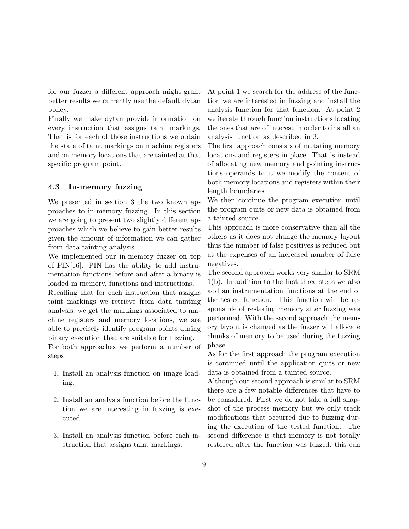for our fuzzer a different approach might grant better results we currently use the default dytan policy.

Finally we make dytan provide information on every instruction that assigns taint markings. That is for each of those instructions we obtain the state of taint markings on machine registers and on memory locations that are tainted at that specific program point.

#### 4.3 In-memory fuzzing

We presented in section 3 the two known approaches to in-memory fuzzing. In this section we are going to present two slightly different approaches which we believe to gain better results given the amount of information we can gather from data tainting analysis.

We implemented our in-memory fuzzer on top of PIN[\[16\]](#page-10-9). PIN has the ability to add instrumentation functions before and after a binary is loaded in memory, functions and instructions.

Recalling that for each instruction that assigns taint markings we retrieve from data tainting analysis, we get the markings associated to machine registers and memory locations, we are able to precisely identify program points during binary execution that are suitable for fuzzing.

For both approaches we perform a number of steps:

- 1. Install an analysis function on image loading.
- 2. Install an analysis function before the function we are interesting in fuzzing is executed.
- 3. Install an analysis function before each instruction that assigns taint markings.

At point 1 we search for the address of the function we are interested in fuzzing and install the analysis function for that function. At point 2 we iterate through function instructions locating the ones that are of interest in order to install an analysis function as described in 3.

The first approach consists of mutating memory locations and registers in place. That is instead of allocating new memory and pointing instructions operands to it we modify the content of both memory locations and registers within their length boundaries.

We then continue the program execution until the program quits or new data is obtained from a tainted source.

This approach is more conservative than all the others as it does not change the memory layout thus the number of false positives is reduced but at the expenses of an increased number of false negatives.

The second approach works very similar to SRM [1\(b\).](#page-3-1) In addition to the first three steps we also add an instrumentation functions at the end of the tested function. This function will be responsible of restoring memory after fuzzing was performed. With the second approach the memory layout is changed as the fuzzer will allocate chunks of memory to be used during the fuzzing phase.

As for the first approach the program execution is continued until the application quits or new data is obtained from a tainted source.

Although our second approach is similar to SRM there are a few notable differences that have to be considered. First we do not take a full snapshot of the process memory but we only track modifications that occurred due to fuzzing during the execution of the tested function. The second difference is that memory is not totally restored after the function was fuzzed, this can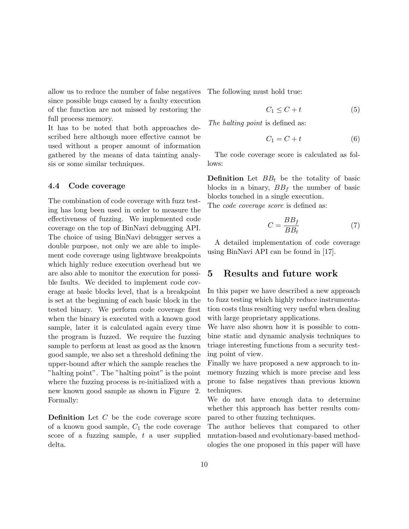allow us to reduce the number of false negatives since possible bugs caused by a faulty execution of the function are not missed by restoring the full process memory.

It has to be noted that both approaches described here although more effective cannot be used without a proper amount of information gathered by the means of data tainting analysis or some similar techniques.

#### 4.4 Code coverage

The combination of code coverage with fuzz testing has long been used in order to measure the effectiveness of fuzzing. We implemented code coverage on the top of BinNavi debugging API. The choice of using BinNavi debugger serves a double purpose, not only we are able to implement code coverage using lightwave breakpoints which highly reduce execution overhead but we are also able to monitor the execution for possible faults. We decided to implement code coverage at basic blocks level, that is a breakpoint is set at the beginning of each basic block in the tested binary. We perform code coverage first when the binary is executed with a known good sample, later it is calculated again every time the program is fuzzed. We require the fuzzing sample to perform at least as good as the known good sample, we also set a threshold defining the upper-bound after which the sample reaches the "halting point". The "halting point" is the point where the fuzzing process is re-initialized with a new known good sample as shown in Figure [2.](#page-5-0) Formally:

Definition Let C be the code coverage score of a known good sample,  $C_1$  the code coverage score of a fuzzing sample,  $t$  a user supplied delta.

The following must hold true:

$$
C_1 \le C + t \tag{5}
$$

The halting point is defined as:

$$
C_1 = C + t \tag{6}
$$

The code coverage score is calculated as follows:

**Definition** Let  $BB_t$  be the totality of basic blocks in a binary,  $BB_f$  the number of basic blocks touched in a single execution. The *code coverage score* is defined as:

$$
C = \frac{BB_f}{BB_t} \tag{7}
$$

A detailed implementation of code coverage using BinNavi API can be found in [\[17\]](#page-11-0).

### 5 Results and future work

In this paper we have described a new approach to fuzz testing which highly reduce instrumentation costs thus resulting very useful when dealing with large proprietary applications.

We have also shown how it is possible to combine static and dynamic analysis techniques to triage interesting functions from a security testing point of view.

Finally we have proposed a new approach to inmemory fuzzing which is more precise and less prone to false negatives than previous known techniques.

We do not have enough data to determine whether this approach has better results compared to other fuzzing techniques.

The author believes that compared to other mutation-based and evolutionary-based methodologies the one proposed in this paper will have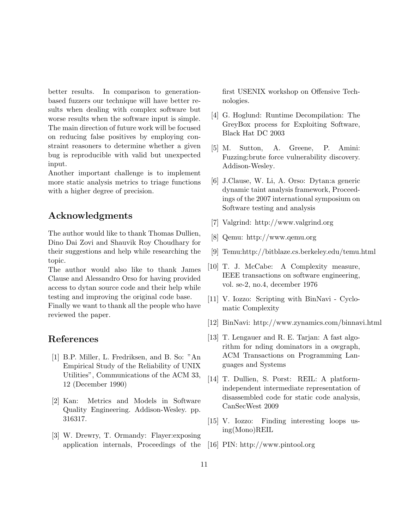better results. In comparison to generationbased fuzzers our technique will have better results when dealing with complex software but worse results when the software input is simple. The main direction of future work will be focused on reducing false positives by employing constraint reasoners to determine whether a given bug is reproducible with valid but unexpected input.

Another important challenge is to implement more static analysis metrics to triage functions with a higher degree of precision.

# Acknowledgments

The author would like to thank Thomas Dullien, Dino Dai Zovi and Shauvik Roy Choudhary for their suggestions and help while researching the topic.

The author would also like to thank James Clause and Alessandro Orso for having provided access to dytan source code and their help while testing and improving the original code base.

Finally we want to thank all the people who have reviewed the paper.

## References

- <span id="page-10-0"></span>[1] B.P. Miller, L. Fredriksen, and B. So: ["An](ftp://ftp.cs.wisc.edu/paradyn/technical_papers/fuzz.pdf) [Empirical Study of the Reliability of UNIX](ftp://ftp.cs.wisc.edu/paradyn/technical_papers/fuzz.pdf) [Utilities", Communications of the ACM 33,](ftp://ftp.cs.wisc.edu/paradyn/technical_papers/fuzz.pdf) [12 \(December 1990\)](ftp://ftp.cs.wisc.edu/paradyn/technical_papers/fuzz.pdf)
- <span id="page-10-1"></span>[2] Kan: Metrics and Models in Software Quality Engineering. Addison-Wesley. pp. 316317.
- <span id="page-10-3"></span>[3] W. Drewry, T. Ormandy: [Flayer:exposing](http://portal.acm.org/citation.cfm?id=1323277) [application internals, Proceedings of the](http://portal.acm.org/citation.cfm?id=1323277)

[first USENIX workshop on Offensive Tech](http://portal.acm.org/citation.cfm?id=1323277)[nologies.](http://portal.acm.org/citation.cfm?id=1323277)

- <span id="page-10-4"></span>[4] G. Hoglund: [Runtime Decompilation: The](http://www.blackhat.com/presentations/bh-federal-03/bh-fed-03-hoglund.pdf) [GreyBox process for Exploiting Software,](http://www.blackhat.com/presentations/bh-federal-03/bh-fed-03-hoglund.pdf) [Black Hat DC 2003](http://www.blackhat.com/presentations/bh-federal-03/bh-fed-03-hoglund.pdf)
- <span id="page-10-5"></span>[5] M. Sutton, A. Greene, P. Amini: [Fuzzing:brute force vulnerability discovery.](http://www.fuzzing.org) [Addison-Wesley.](http://www.fuzzing.org)
- <span id="page-10-2"></span>[6] J.Clause, W. Li, A. Orso: [Dytan:a generic](http://portal.acm.org/citation.cfm?id=1273490) [dynamic taint analysis framework, Proceed](http://portal.acm.org/citation.cfm?id=1273490)[ings of the 2007 international symposium on](http://portal.acm.org/citation.cfm?id=1273490) [Software testing and analysis](http://portal.acm.org/citation.cfm?id=1273490)
- <span id="page-10-6"></span>[7] [Valgrind: http://www.valgrind.org](http://www.valgrind.org)
- <span id="page-10-8"></span>[8] [Qemu: http://www.qemu.org](http://www.qemu.org)
- <span id="page-10-7"></span>[9] [Temu:http://bitblaze.cs.berkeley.edu/temu.html](http://bitblaze.cs.berkeley.edu/temu.html)
- <span id="page-10-10"></span>[10] T. J. McCabe: [A Complexity measure,](http://www.literateprogramming.com/mccabe.pdf) [IEEE transactions on software engineering,](http://www.literateprogramming.com/mccabe.pdf) [vol. se-2, no.4, december 1976](http://www.literateprogramming.com/mccabe.pdf)
- <span id="page-10-11"></span>[11] V. Iozzo: [Scripting with BinNavi - Cyclo](http://viozzo.wordpress.com/2009/12/11/scripting-with-binnavi-cyclomatic-complexity/)[matic Complexity](http://viozzo.wordpress.com/2009/12/11/scripting-with-binnavi-cyclomatic-complexity/)
- <span id="page-10-12"></span>[12] [BinNavi: http://www.zynamics.com/binnavi.html](http://www.zynamics.com/binnavi.html)
- <span id="page-10-13"></span>[13] T. Lengauer and R. E. Tarjan: [A fast algo](http://portal.acm.org/citation.cfm?id=357071&dl=)[rithm for nding dominators in a owgraph,](http://portal.acm.org/citation.cfm?id=357071&dl=) [ACM Transactions on Programming Lan](http://portal.acm.org/citation.cfm?id=357071&dl=)[guages and Systems](http://portal.acm.org/citation.cfm?id=357071&dl=)
- <span id="page-10-14"></span>[14] T. Dullien, S. Porst: [REIL: A platform](http://zynamics.com/downloads/csw09.pdf)[independent intermediate representation of](http://zynamics.com/downloads/csw09.pdf) [disassembled code for static code analysis,](http://zynamics.com/downloads/csw09.pdf) [CanSecWest 2009](http://zynamics.com/downloads/csw09.pdf)
- <span id="page-10-15"></span>[15] V. Iozzo: [Finding interesting loops us](http://viozzo.wordpress.com/2009/12/18/finding-interesting-loops-using-monoreil/)[ing\(Mono\)REIL](http://viozzo.wordpress.com/2009/12/18/finding-interesting-loops-using-monoreil/)
- <span id="page-10-9"></span>[16] [PIN: http://www.pintool.org](http://www.pintool.org)